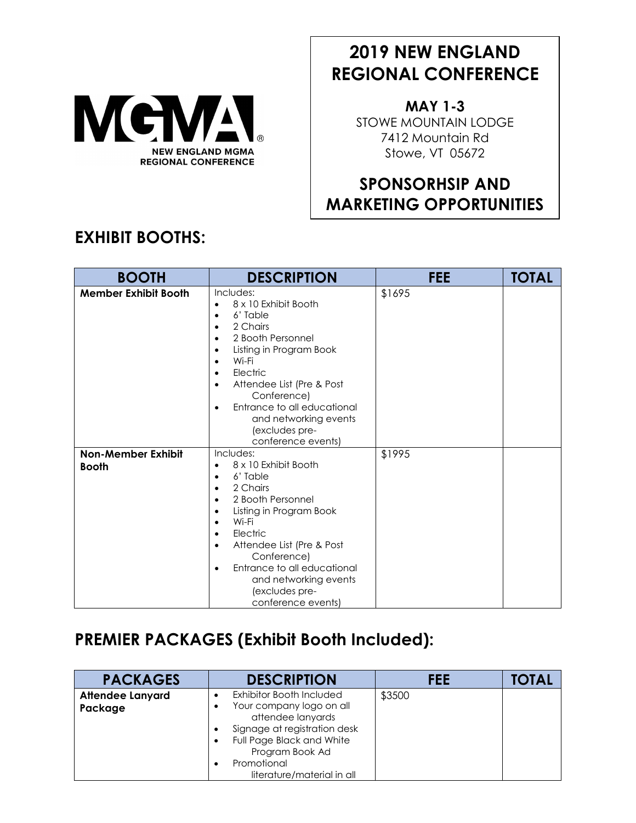

# **2019 NEW ENGLAND REGIONAL CONFERENCE**

**MAY 1-3** STOWE MOUNTAIN LODGE 7412 Mountain Rd Stowe, VT 05672

## **SPONSORHSIP AND MARKETING OPPORTUNITIES**

#### **BOOTH DESCRIPTION FEE TOTAL Member Exhibit Booth** Includes: • 8 x 10 Exhibit Booth • 6' Table • 2 Chairs • 2 Booth Personnel • Listing in Program Book • Wi-Fi • Electric • Attendee List (Pre & Post Conference) • Entrance to all educational and networking events (excludes preconference events) \$1695 **Non-Member Exhibit Booth** Includes: • 8 x 10 Exhibit Booth • 6' Table • 2 Chairs • 2 Booth Personnel • Listing in Program Book • Wi-Fi • Electric • Attendee List (Pre & Post Conference) • Entrance to all educational and networking events (excludes preconference events) \$1995

## **EXHIBIT BOOTHS:**

#### **PREMIER PACKAGES (Exhibit Booth Included):**

| <b>PACKAGES</b>                    | <b>DESCRIPTION</b>                                                                                                                                                                                     | FEE    | TOTAL |
|------------------------------------|--------------------------------------------------------------------------------------------------------------------------------------------------------------------------------------------------------|--------|-------|
| <b>Attendee Lanyard</b><br>Package | Exhibitor Booth Included<br>Your company logo on all<br>attendee lanyards<br>Signage at registration desk<br>Full Page Black and White<br>Program Book Ad<br>Promotional<br>literature/material in all | \$3500 |       |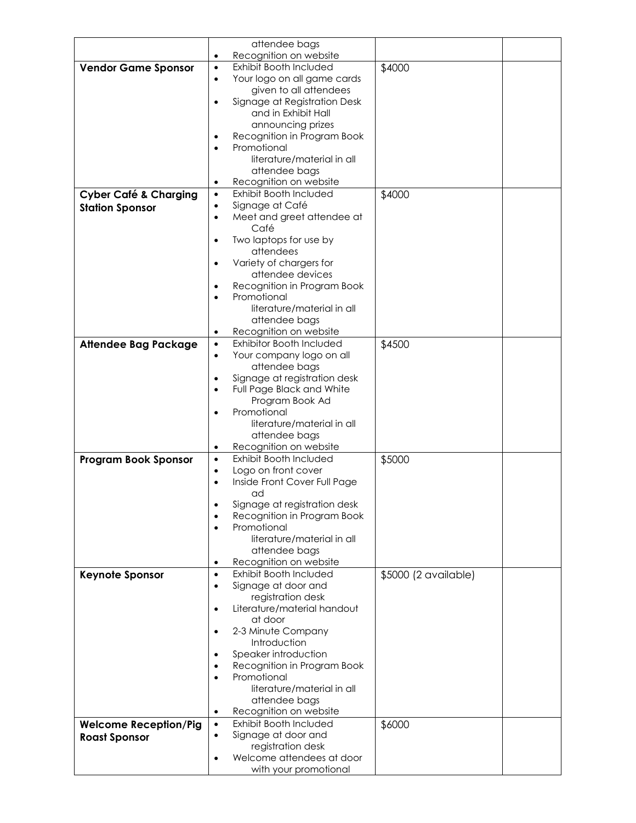|                                  | attendee bags          |                                 |                      |
|----------------------------------|------------------------|---------------------------------|----------------------|
|                                  | Recognition on website |                                 |                      |
| <b>Vendor Game Sponsor</b>       | $\bullet$              | Exhibit Booth Included          | \$4000               |
|                                  | $\bullet$              | Your logo on all game cards     |                      |
|                                  |                        | given to all attendees          |                      |
|                                  |                        | Signage at Registration Desk    |                      |
|                                  |                        | and in Exhibit Hall             |                      |
|                                  |                        | announcing prizes               |                      |
|                                  |                        | Recognition in Program Book     |                      |
|                                  |                        | Promotional                     |                      |
|                                  |                        | literature/material in all      |                      |
|                                  |                        | attendee bags                   |                      |
|                                  | ٠                      | Recognition on website          |                      |
| <b>Cyber Café &amp; Charging</b> | $\bullet$              | Exhibit Booth Included          | \$4000               |
|                                  | $\bullet$              | Signage at Café                 |                      |
| <b>Station Sponsor</b>           | $\bullet$              | Meet and greet attendee at      |                      |
|                                  |                        | Café                            |                      |
|                                  | $\bullet$              | Two laptops for use by          |                      |
|                                  |                        | attendees                       |                      |
|                                  | $\bullet$              | Variety of chargers for         |                      |
|                                  |                        | attendee devices                |                      |
|                                  |                        | Recognition in Program Book     |                      |
|                                  |                        | Promotional                     |                      |
|                                  |                        | literature/material in all      |                      |
|                                  |                        | attendee bags                   |                      |
|                                  |                        | Recognition on website          |                      |
|                                  | ٠                      | <b>Exhibitor Booth Included</b> |                      |
| <b>Attendee Bag Package</b>      | $\bullet$              |                                 | \$4500               |
|                                  | $\bullet$              | Your company logo on all        |                      |
|                                  |                        | attendee bags                   |                      |
|                                  | $\bullet$              | Signage at registration desk    |                      |
|                                  | $\bullet$              | Full Page Black and White       |                      |
|                                  |                        | Program Book Ad                 |                      |
|                                  |                        | Promotional                     |                      |
|                                  |                        | literature/material in all      |                      |
|                                  |                        | attendee bags                   |                      |
|                                  | $\bullet$              | Recognition on website          |                      |
| <b>Program Book Sponsor</b>      | $\bullet$              | Exhibit Booth Included          | \$5000               |
|                                  | $\bullet$<br>$\bullet$ | Logo on front cover             |                      |
|                                  |                        | Inside Front Cover Full Page    |                      |
|                                  |                        | ad                              |                      |
|                                  |                        | Signage at registration desk    |                      |
|                                  | $\bullet$              | Recognition in Program Book     |                      |
|                                  | $\bullet$              | Promotional                     |                      |
|                                  |                        | literature/material in all      |                      |
|                                  |                        | attendee bags                   |                      |
|                                  | $\bullet$              | Recognition on website          |                      |
| <b>Keynote Sponsor</b>           | $\bullet$              | Exhibit Booth Included          | \$5000 (2 available) |
|                                  | $\bullet$              | Signage at door and             |                      |
|                                  |                        | registration desk               |                      |
|                                  | $\bullet$              | Literature/material handout     |                      |
|                                  |                        | at door                         |                      |
|                                  | $\bullet$              | 2-3 Minute Company              |                      |
|                                  |                        | Introduction                    |                      |
|                                  |                        | Speaker introduction            |                      |
|                                  | $\bullet$              | Recognition in Program Book     |                      |
|                                  | $\bullet$              | Promotional                     |                      |
|                                  |                        | literature/material in all      |                      |
|                                  |                        | attendee bags                   |                      |
|                                  | $\bullet$              | Recognition on website          |                      |
| <b>Welcome Reception/Pig</b>     | $\bullet$              | Exhibit Booth Included          | \$6000               |
| <b>Roast Sponsor</b>             | $\bullet$              | Signage at door and             |                      |
|                                  |                        | registration desk               |                      |
|                                  | $\bullet$              | Welcome attendees at door       |                      |
|                                  |                        | with your promotional           |                      |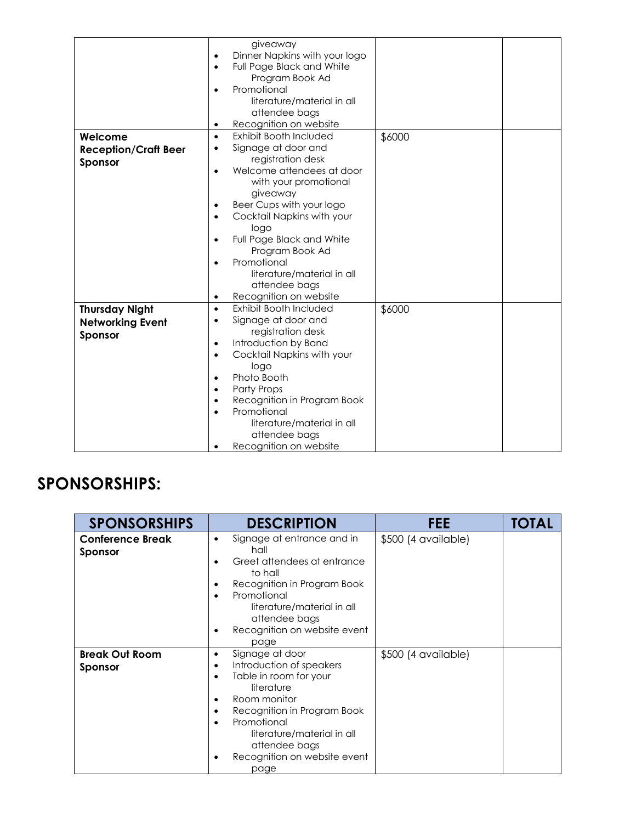|                             | giveaway<br>Dinner Napkins with your logo                     |
|-----------------------------|---------------------------------------------------------------|
|                             | Full Page Black and White                                     |
|                             | Program Book Ad                                               |
|                             | Promotional<br>$\bullet$                                      |
|                             | literature/material in all                                    |
|                             | attendee bags                                                 |
|                             | Recognition on website                                        |
| Welcome                     | Exhibit Booth Included<br>\$6000<br>$\bullet$                 |
| <b>Reception/Craft Beer</b> | Signage at door and                                           |
| Sponsor                     | registration desk                                             |
|                             | Welcome attendees at door                                     |
|                             | with your promotional                                         |
|                             | giveaway                                                      |
|                             | Beer Cups with your logo                                      |
|                             | Cocktail Napkins with your<br>$\bullet$                       |
|                             | logo                                                          |
|                             | Full Page Black and White                                     |
|                             | Program Book Ad                                               |
|                             | Promotional                                                   |
|                             | literature/material in all                                    |
|                             | attendee bags                                                 |
|                             | Recognition on website<br>$\bullet$<br>Exhibit Booth Included |
| <b>Thursday Night</b>       | \$6000<br>$\bullet$<br>Signage at door and<br>٠               |
| <b>Networking Event</b>     | registration desk                                             |
| Sponsor                     | Introduction by Band<br>٠                                     |
|                             | Cocktail Napkins with your<br>$\bullet$                       |
|                             | logo                                                          |
|                             | Photo Booth                                                   |
|                             | <b>Party Props</b>                                            |
|                             | Recognition in Program Book<br>$\bullet$                      |
|                             | Promotional                                                   |
|                             | literature/material in all                                    |
|                             | attendee bags                                                 |
|                             | Recognition on website                                        |

### **SPONSORSHIPS:**

| <b>SPONSORSHIPS</b>                | <b>DESCRIPTION</b>                                                                                                                                                                                                                                                             | FEE                 | <b>TOTAL</b> |
|------------------------------------|--------------------------------------------------------------------------------------------------------------------------------------------------------------------------------------------------------------------------------------------------------------------------------|---------------------|--------------|
| <b>Conference Break</b><br>Sponsor | Signage at entrance and in<br>٠<br>hall<br>Greet attendees at entrance<br>to hall<br>Recognition in Program Book<br>Promotional<br>$\bullet$<br>literature/material in all<br>attendee bags<br>Recognition on website event<br>٠<br>page                                       | \$500 (4 available) |              |
| <b>Break Out Room</b><br>Sponsor   | Signage at door<br>٠<br>Introduction of speakers<br>٠<br>Table in room for your<br>literature<br>Room monitor<br>٠<br>Recognition in Program Book<br>٠<br>Promotional<br>$\bullet$<br>literature/material in all<br>attendee bags<br>Recognition on website event<br>٠<br>page | \$500 (4 available) |              |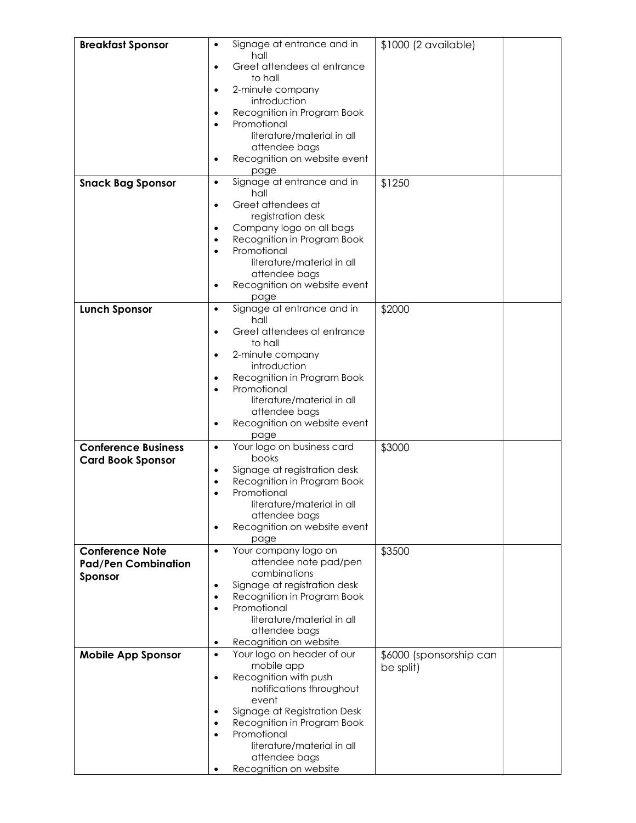| <b>Breakfast Sponsor</b>                             | $\bullet$              | Signage at entrance and in                              | \$1000 (2 available)    |  |
|------------------------------------------------------|------------------------|---------------------------------------------------------|-------------------------|--|
|                                                      | hall                   |                                                         |                         |  |
|                                                      | ٠                      | Greet attendees at entrance                             |                         |  |
|                                                      |                        | to hall                                                 |                         |  |
|                                                      | ٠                      | 2-minute company                                        |                         |  |
|                                                      |                        | introduction                                            |                         |  |
|                                                      | ٠                      | Recognition in Program Book<br>Promotional              |                         |  |
|                                                      |                        | literature/material in all                              |                         |  |
|                                                      |                        | attendee bags                                           |                         |  |
|                                                      | $\bullet$              | Recognition on website event                            |                         |  |
|                                                      |                        | page                                                    |                         |  |
| <b>Snack Bag Sponsor</b>                             | $\bullet$              | Signage at entrance and in                              | \$1250                  |  |
|                                                      |                        | hall                                                    |                         |  |
|                                                      | $\bullet$              | Greet attendees at                                      |                         |  |
|                                                      |                        | registration desk                                       |                         |  |
|                                                      | ٠<br>$\bullet$         | Company logo on all bags<br>Recognition in Program Book |                         |  |
|                                                      | $\bullet$              | Promotional                                             |                         |  |
|                                                      |                        | literature/material in all                              |                         |  |
|                                                      |                        | attendee bags                                           |                         |  |
|                                                      |                        | Recognition on website event                            |                         |  |
|                                                      |                        | page                                                    |                         |  |
| <b>Lunch Sponsor</b>                                 | $\bullet$              | Signage at entrance and in                              | \$2000                  |  |
|                                                      |                        | hall                                                    |                         |  |
|                                                      | $\bullet$              | Greet attendees at entrance<br>to hall                  |                         |  |
|                                                      |                        | 2-minute company                                        |                         |  |
|                                                      |                        | introduction                                            |                         |  |
|                                                      | ٠                      | Recognition in Program Book                             |                         |  |
|                                                      | $\bullet$              | Promotional                                             |                         |  |
|                                                      |                        | literature/material in all                              |                         |  |
|                                                      |                        | attendee bags                                           |                         |  |
|                                                      |                        | Recognition on website event                            |                         |  |
|                                                      |                        | page                                                    |                         |  |
| <b>Conference Business</b>                           | $\bullet$              | Your logo on business card<br>books                     | \$3000                  |  |
| <b>Card Book Sponsor</b>                             | $\bullet$              | Signage at registration desk                            |                         |  |
|                                                      | $\bullet$              | Recognition in Program Book                             |                         |  |
|                                                      |                        | Promotional                                             |                         |  |
|                                                      |                        | literature/material in all                              |                         |  |
|                                                      |                        | attendee bags                                           |                         |  |
|                                                      | $\bullet$              | Recognition on website event                            |                         |  |
|                                                      |                        | page                                                    |                         |  |
| <b>Conference Note</b><br><b>Pad/Pen Combination</b> | $\bullet$              | Your company logo on<br>attendee note pad/pen           | \$3500                  |  |
|                                                      |                        | combinations                                            |                         |  |
| Sponsor                                              | $\bullet$              | Signage at registration desk                            |                         |  |
|                                                      | $\bullet$              | Recognition in Program Book                             |                         |  |
|                                                      | $\bullet$              | Promotional                                             |                         |  |
|                                                      |                        | literature/material in all                              |                         |  |
|                                                      |                        | attendee bags                                           |                         |  |
|                                                      | $\bullet$<br>$\bullet$ | Recognition on website<br>Your logo on header of our    |                         |  |
| <b>Mobile App Sponsor</b>                            |                        | mobile app                                              | \$6000 (sponsorship can |  |
|                                                      | ٠                      | Recognition with push                                   | be split)               |  |
|                                                      |                        | notifications throughout                                |                         |  |
|                                                      |                        | event                                                   |                         |  |
|                                                      | $\bullet$              | Signage at Registration Desk                            |                         |  |
|                                                      |                        | Recognition in Program Book                             |                         |  |
|                                                      |                        | Promotional                                             |                         |  |
|                                                      |                        | literature/material in all<br>attendee bags             |                         |  |
|                                                      |                        | Recognition on website                                  |                         |  |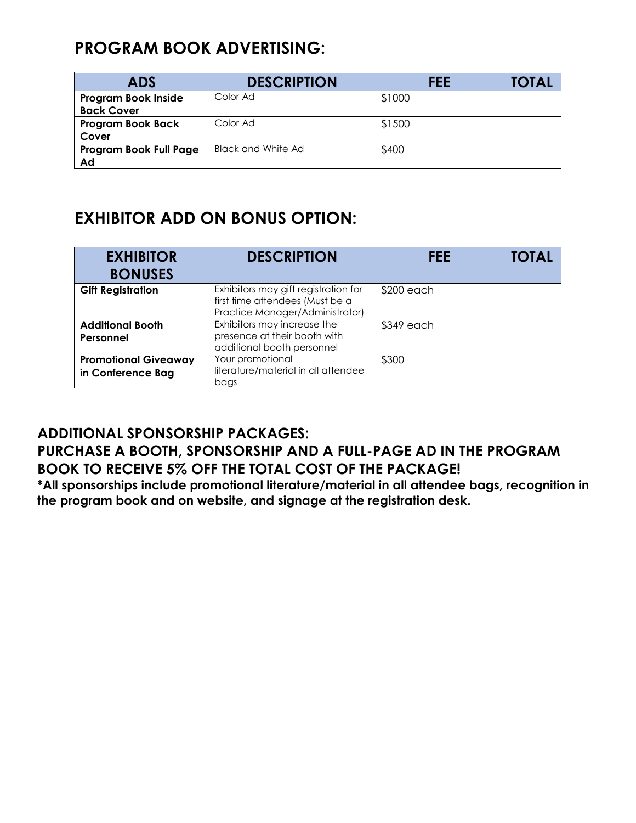#### **PROGRAM BOOK ADVERTISING:**

| <b>ADS</b>                 | <b>DESCRIPTION</b>        | FEE    | TOTAL |
|----------------------------|---------------------------|--------|-------|
| <b>Program Book Inside</b> | Color Ad                  | \$1000 |       |
| <b>Back Cover</b>          |                           |        |       |
| <b>Program Book Back</b>   | Color Ad                  | \$1500 |       |
| Cover                      |                           |        |       |
| Program Book Full Page     | <b>Black and White Ad</b> | \$400  |       |
| Ad                         |                           |        |       |

#### **EXHIBITOR ADD ON BONUS OPTION:**

| <b>EXHIBITOR</b><br><b>BONUSES</b>               | <b>DESCRIPTION</b>                                                                                         | <b>FEE</b>  | <b>TOTAL</b> |
|--------------------------------------------------|------------------------------------------------------------------------------------------------------------|-------------|--------------|
| <b>Gift Registration</b>                         | Exhibitors may gift registration for<br>first time attendees (Must be a<br>Practice Manager/Administrator) | $$200$ each |              |
| <b>Additional Booth</b><br>Personnel             | Exhibitors may increase the<br>presence at their booth with<br>additional booth personnel                  | \$349 each  |              |
| <b>Promotional Giveaway</b><br>in Conference Bag | Your promotional<br>literature/material in all attendee<br>bags                                            | \$300       |              |

#### **ADDITIONAL SPONSORSHIP PACKAGES: PURCHASE A BOOTH, SPONSORSHIP AND A FULL-PAGE AD IN THE PROGRAM BOOK TO RECEIVE 5% OFF THE TOTAL COST OF THE PACKAGE!**

**\*All sponsorships include promotional literature/material in all attendee bags, recognition in the program book and on website, and signage at the registration desk.**